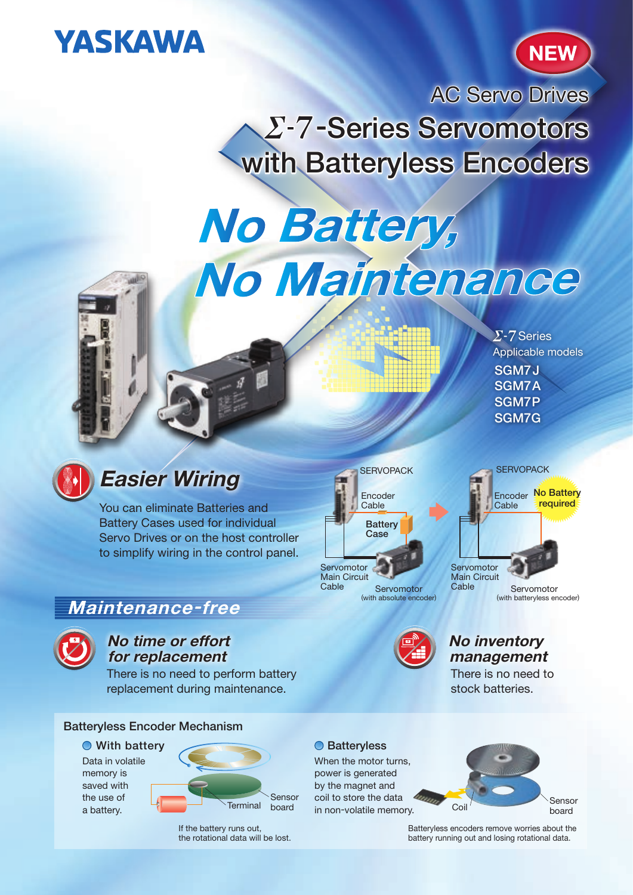# **YASKAWA**



AC Servo Drives **Z-7-Series Servomotors** with Batteryless Encoders

# No Battery, No Maintenance



# Easier Wiring

You can eliminate Batteries and Battery Cases used for individual Servo Drives or on the host controller to simplify wiring in the control panel.

## Maintenance-free



#### No time or effort for replacement

There is no need to perform battery replacement during maintenance.



Data in volatile memory is saved with the use of a battery.



If the battery runs out, the rotational data will be lost.





SGM7.I SGM7A SGM7P SGM7G

 $\Sigma$ -7 Series

Applicable models



### No inventory management

There is no need to stock batteries.

When the motor turns, power is generated by the magnet and coil to store the data in non-volatile memory.



Batteryless encoders remove worries about the battery running out and losing rotational data.